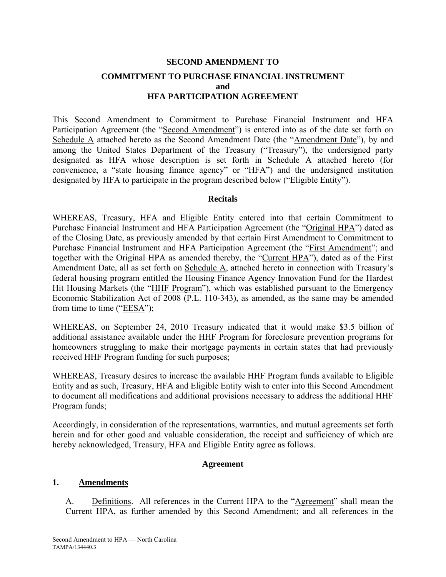# **SECOND AMENDMENT TO COMMITMENT TO PURCHASE FINANCIAL INSTRUMENT and HFA PARTICIPATION AGREEMENT**

This Second Amendment to Commitment to Purchase Financial Instrument and HFA Participation Agreement (the "Second Amendment") is entered into as of the date set forth on Schedule A attached hereto as the Second Amendment Date (the "Amendment Date"), by and among the United States Department of the Treasury ("Treasury"), the undersigned party designated as HFA whose description is set forth in Schedule A attached hereto (for convenience, a "state housing finance agency" or "HFA") and the undersigned institution designated by HFA to participate in the program described below ("Eligible Entity").

#### **Recitals**

WHEREAS, Treasury, HFA and Eligible Entity entered into that certain Commitment to Purchase Financial Instrument and HFA Participation Agreement (the "Original HPA") dated as of the Closing Date, as previously amended by that certain First Amendment to Commitment to Purchase Financial Instrument and HFA Participation Agreement (the "First Amendment"; and together with the Original HPA as amended thereby, the "Current HPA"), dated as of the First Amendment Date, all as set forth on Schedule A, attached hereto in connection with Treasury's federal housing program entitled the Housing Finance Agency Innovation Fund for the Hardest Hit Housing Markets (the "HHF Program"), which was established pursuant to the Emergency Economic Stabilization Act of 2008 (P.L. 110-343), as amended, as the same may be amended from time to time ("EESA");

WHEREAS, on September 24, 2010 Treasury indicated that it would make \$3.5 billion of additional assistance available under the HHF Program for foreclosure prevention programs for homeowners struggling to make their mortgage payments in certain states that had previously received HHF Program funding for such purposes;

WHEREAS, Treasury desires to increase the available HHF Program funds available to Eligible Entity and as such, Treasury, HFA and Eligible Entity wish to enter into this Second Amendment to document all modifications and additional provisions necessary to address the additional HHF Program funds;

Accordingly, in consideration of the representations, warranties, and mutual agreements set forth herein and for other good and valuable consideration, the receipt and sufficiency of which are hereby acknowledged, Treasury, HFA and Eligible Entity agree as follows.

#### **Agreement**

#### **1. Amendments**

A. Definitions. All references in the Current HPA to the "Agreement" shall mean the Current HPA, as further amended by this Second Amendment; and all references in the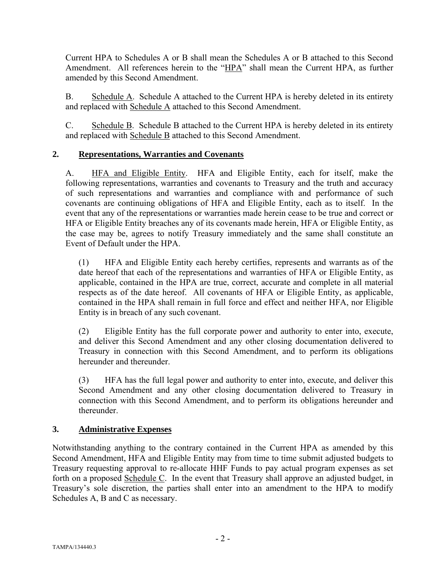Current HPA to Schedules A or B shall mean the Schedules A or B attached to this Second Amendment. All references herein to the "HPA" shall mean the Current HPA, as further amended by this Second Amendment.

B. Schedule A. Schedule A attached to the Current HPA is hereby deleted in its entirety and replaced with Schedule A attached to this Second Amendment.

C. Schedule B. Schedule B attached to the Current HPA is hereby deleted in its entirety and replaced with Schedule B attached to this Second Amendment.

# **2. Representations, Warranties and Covenants**

A. HFA and Eligible Entity. HFA and Eligible Entity, each for itself, make the following representations, warranties and covenants to Treasury and the truth and accuracy of such representations and warranties and compliance with and performance of such covenants are continuing obligations of HFA and Eligible Entity, each as to itself. In the event that any of the representations or warranties made herein cease to be true and correct or HFA or Eligible Entity breaches any of its covenants made herein, HFA or Eligible Entity, as the case may be, agrees to notify Treasury immediately and the same shall constitute an Event of Default under the HPA.

(1) HFA and Eligible Entity each hereby certifies, represents and warrants as of the date hereof that each of the representations and warranties of HFA or Eligible Entity, as applicable, contained in the HPA are true, correct, accurate and complete in all material respects as of the date hereof. All covenants of HFA or Eligible Entity, as applicable, contained in the HPA shall remain in full force and effect and neither HFA, nor Eligible Entity is in breach of any such covenant.

(2) Eligible Entity has the full corporate power and authority to enter into, execute, and deliver this Second Amendment and any other closing documentation delivered to Treasury in connection with this Second Amendment, and to perform its obligations hereunder and thereunder.

(3) HFA has the full legal power and authority to enter into, execute, and deliver this Second Amendment and any other closing documentation delivered to Treasury in connection with this Second Amendment, and to perform its obligations hereunder and thereunder.

# **3. Administrative Expenses**

Notwithstanding anything to the contrary contained in the Current HPA as amended by this Second Amendment, HFA and Eligible Entity may from time to time submit adjusted budgets to Treasury requesting approval to re-allocate HHF Funds to pay actual program expenses as set forth on a proposed Schedule C. In the event that Treasury shall approve an adjusted budget, in Treasury's sole discretion, the parties shall enter into an amendment to the HPA to modify Schedules A, B and C as necessary.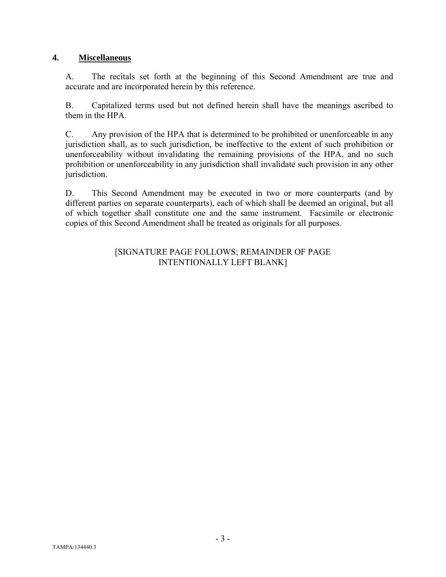# **4. Miscellaneous**

A. The recitals set forth at the beginning of this Second Amendment are true and accurate and are incorporated herein by this reference.

B. Capitalized terms used but not defined herein shall have the meanings ascribed to them in the HPA.

C. Any provision of the HPA that is determined to be prohibited or unenforceable in any jurisdiction shall, as to such jurisdiction, be ineffective to the extent of such prohibition or unenforceability without invalidating the remaining provisions of the HPA, and no such prohibition or unenforceability in any jurisdiction shall invalidate such provision in any other jurisdiction.

D. This Second Amendment may be executed in two or more counterparts (and by different parties on separate counterparts), each of which shall be deemed an original, but all of which together shall constitute one and the same instrument. Facsimile or electronic copies of this Second Amendment shall be treated as originals for all purposes.

# [SIGNATURE PAGE FOLLOWS; REMAINDER OF PAGE INTENTIONALLY LEFT BLANK]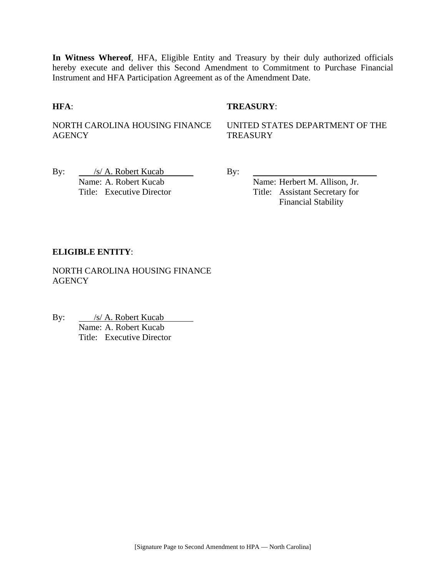**In Witness Whereof**, HFA, Eligible Entity and Treasury by their duly authorized officials hereby execute and deliver this Second Amendment to Commitment to Purchase Financial Instrument and HFA Participation Agreement as of the Amendment Date.

#### **HFA**: **TREASURY**:

NORTH CAROLINA HOUSING FINANCE **AGENCY** 

UNITED STATES DEPARTMENT OF THE **TREASURY** 

By: /s/ A. Robert Kucab By: Name: A. Robert Kucab Name: Herbert M. Allison, Jr.

Title: Executive Director Title: Assistant Secretary for Financial Stability

#### **ELIGIBLE ENTITY**:

NORTH CAROLINA HOUSING FINANCE **AGENCY** 

By: <u>/s/ A. Robert Kucab</u>  $\frac{f(S) - A_1 R_2}{Name: A_2 R_3 R_4 R_5}$  Kucab Title: Executive Director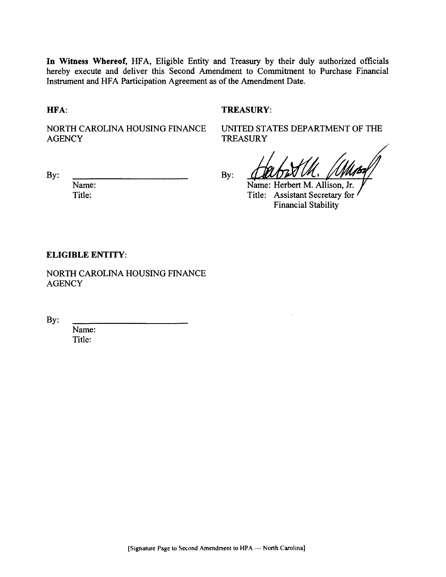In Witness Whereof, HFA, Eligible Entity and Treasury by their duly authorized officials hereby execute and deliver this Second Amendment to Commitment to Purchase Financial Instrument and HFA Participation Agreement as of the Amendment Date.

HFA:

#### **TREASURY:**

NORTH CAROLINA HOUSING FINANCE **AGENCY** 

UNITED STATES DEPARTMENT OF THE **TREASURY** 

By:

Name: Title:

 $By:$ 

Name: Herbert M. Allison, Jr. Title: Assistant Secretary for **Financial Stability** 

**ELIGIBLE ENTITY:** 

NORTH CAROLINA HOUSING FINANCE **AGENCY** 

By:

Name: Title: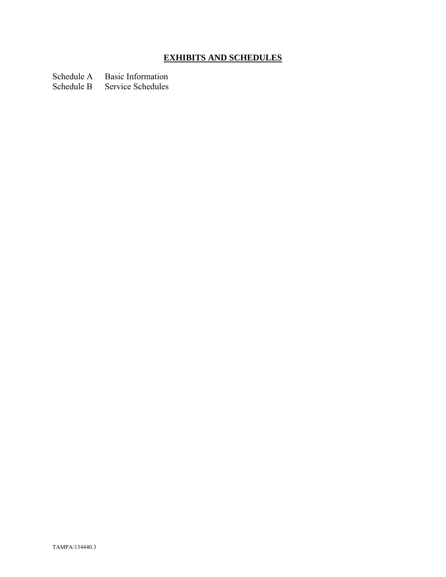# **EXHIBITS AND SCHEDULES**

Schedule A Basic Information

Schedule B Service Schedules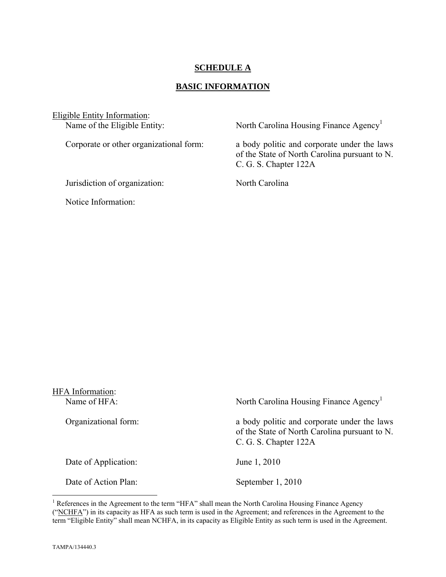# **SCHEDULE A**

#### **BASIC INFORMATION**

Eligible Entity Information:<br>Name of the Eligible Entity:

Jurisdiction of organization: North Carolina

Notice Information:

North Carolina Housing Finance Agency<sup>1</sup>

Corporate or other organizational form: a body politic and corporate under the laws of the State of North Carolina pursuant to N. C. G. S. Chapter 122A

| HFA Information:<br>Name of HFA: | North Carolina Housing Finance Agency <sup>1</sup>                                                                    |
|----------------------------------|-----------------------------------------------------------------------------------------------------------------------|
| Organizational form:             | a body politic and corporate under the laws<br>of the State of North Carolina pursuant to N.<br>C. G. S. Chapter 122A |
| Date of Application:             | June 1, 2010                                                                                                          |
| Date of Action Plan:             | September 1, 2010                                                                                                     |

<sup>&</sup>lt;sup>1</sup> References in the Agreement to the term "HFA" shall mean the North Carolina Housing Finance Agency ("NCHFA") in its capacity as HFA as such term is used in the Agreement; and references in the Agreement to the term "Eligible Entity" shall mean NCHFA, in its capacity as Eligible Entity as such term is used in the Agreement.

1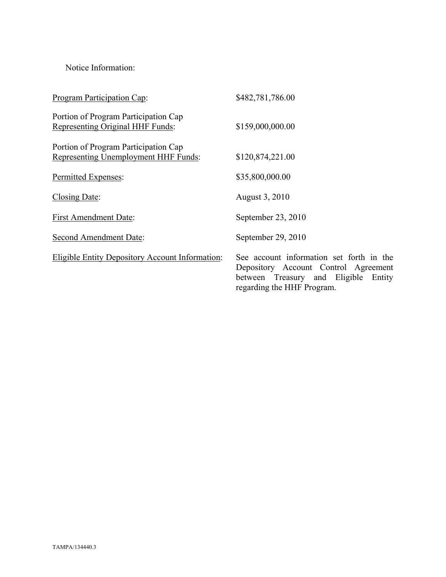Notice Information:

| Program Participation Cap:                                                   | \$482,781,786.00                                                                                                                                       |
|------------------------------------------------------------------------------|--------------------------------------------------------------------------------------------------------------------------------------------------------|
| Portion of Program Participation Cap<br>Representing Original HHF Funds:     | \$159,000,000.00                                                                                                                                       |
| Portion of Program Participation Cap<br>Representing Unemployment HHF Funds: | \$120,874,221.00                                                                                                                                       |
| Permitted Expenses:                                                          | \$35,800,000.00                                                                                                                                        |
| Closing Date:                                                                | August 3, 2010                                                                                                                                         |
| <b>First Amendment Date:</b>                                                 | September 23, 2010                                                                                                                                     |
| Second Amendment Date:                                                       | September 29, 2010                                                                                                                                     |
| <b>Eligible Entity Depository Account Information:</b>                       | See account information set forth in the<br>Depository Account Control Agreement<br>between Treasury and Eligible Entity<br>regarding the HHF Program. |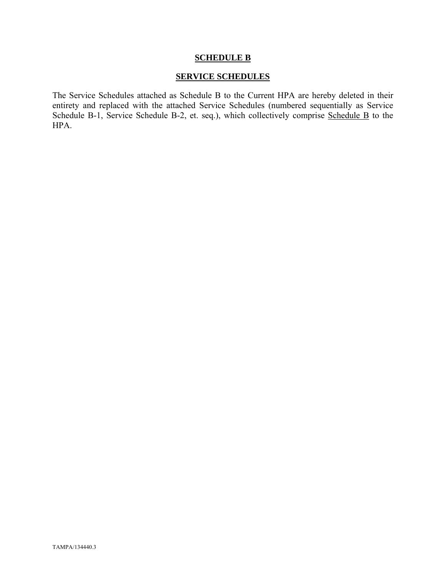#### **SCHEDULE B**

### **SERVICE SCHEDULES**

The Service Schedules attached as Schedule B to the Current HPA are hereby deleted in their entirety and replaced with the attached Service Schedules (numbered sequentially as Service Schedule B-1, Service Schedule B-2, et. seq.), which collectively comprise Schedule B to the HPA.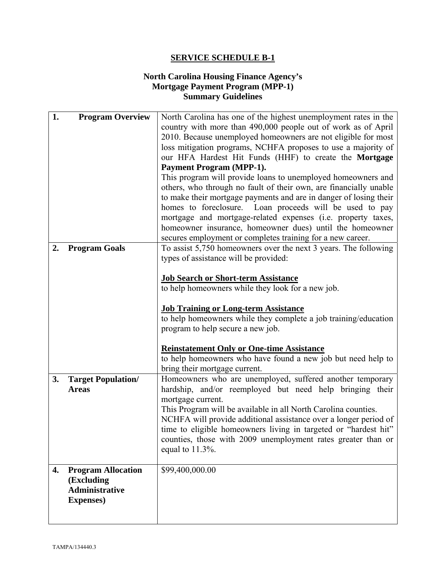# **North Carolina Housing Finance Agency's Mortgage Payment Program (MPP-1) Summary Guidelines**

| 1. | <b>Program Overview</b>   | North Carolina has one of the highest unemployment rates in the   |
|----|---------------------------|-------------------------------------------------------------------|
|    |                           | country with more than 490,000 people out of work as of April     |
|    |                           | 2010. Because unemployed homeowners are not eligible for most     |
|    |                           | loss mitigation programs, NCHFA proposes to use a majority of     |
|    |                           | our HFA Hardest Hit Funds (HHF) to create the Mortgage            |
|    |                           | <b>Payment Program (MPP-1).</b>                                   |
|    |                           | This program will provide loans to unemployed homeowners and      |
|    |                           | others, who through no fault of their own, are financially unable |
|    |                           | to make their mortgage payments and are in danger of losing their |
|    |                           | homes to foreclosure. Loan proceeds will be used to pay           |
|    |                           | mortgage and mortgage-related expenses (i.e. property taxes,      |
|    |                           | homeowner insurance, homeowner dues) until the homeowner          |
|    |                           | secures employment or completes training for a new career.        |
| 2. | <b>Program Goals</b>      | To assist 5,750 homeowners over the next 3 years. The following   |
|    |                           | types of assistance will be provided:                             |
|    |                           |                                                                   |
|    |                           | <b>Job Search or Short-term Assistance</b>                        |
|    |                           | to help homeowners while they look for a new job.                 |
|    |                           | <b>Job Training or Long-term Assistance</b>                       |
|    |                           | to help homeowners while they complete a job training/education   |
|    |                           | program to help secure a new job.                                 |
|    |                           |                                                                   |
|    |                           | <b>Reinstatement Only or One-time Assistance</b>                  |
|    |                           | to help homeowners who have found a new job but need help to      |
|    |                           | bring their mortgage current.                                     |
| 3. | <b>Target Population/</b> | Homeowners who are unemployed, suffered another temporary         |
|    | <b>Areas</b>              | hardship, and/or reemployed but need help bringing their          |
|    |                           | mortgage current.                                                 |
|    |                           | This Program will be available in all North Carolina counties.    |
|    |                           | NCHFA will provide additional assistance over a longer period of  |
|    |                           | time to eligible homeowners living in targeted or "hardest hit"   |
|    |                           | counties, those with 2009 unemployment rates greater than or      |
|    |                           | equal to $11.3\%$ .                                               |
| 4. | <b>Program Allocation</b> | \$99,400,000.00                                                   |
|    | (Excluding                |                                                                   |
|    | <b>Administrative</b>     |                                                                   |
|    | <b>Expenses</b> )         |                                                                   |
|    |                           |                                                                   |
|    |                           |                                                                   |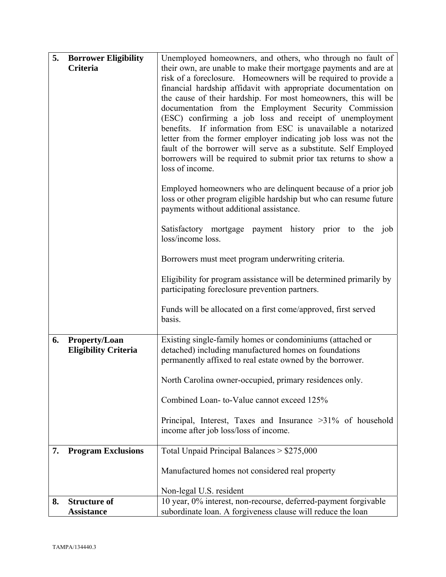| 5. | <b>Borrower Eligibility</b> | Unemployed homeowners, and others, who through no fault of                                             |
|----|-----------------------------|--------------------------------------------------------------------------------------------------------|
|    | Criteria                    | their own, are unable to make their mortgage payments and are at                                       |
|    |                             | risk of a foreclosure. Homeowners will be required to provide a                                        |
|    |                             | financial hardship affidavit with appropriate documentation on                                         |
|    |                             | the cause of their hardship. For most homeowners, this will be                                         |
|    |                             | documentation from the Employment Security Commission                                                  |
|    |                             | (ESC) confirming a job loss and receipt of unemployment                                                |
|    |                             | benefits. If information from ESC is unavailable a notarized                                           |
|    |                             | letter from the former employer indicating job loss was not the                                        |
|    |                             | fault of the borrower will serve as a substitute. Self Employed                                        |
|    |                             | borrowers will be required to submit prior tax returns to show a                                       |
|    |                             | loss of income.                                                                                        |
|    |                             | Employed homeowners who are delinquent because of a prior job                                          |
|    |                             | loss or other program eligible hardship but who can resume future                                      |
|    |                             | payments without additional assistance.                                                                |
|    |                             |                                                                                                        |
|    |                             | Satisfactory mortgage payment history prior to the job                                                 |
|    |                             | loss/income loss.                                                                                      |
|    |                             |                                                                                                        |
|    |                             | Borrowers must meet program underwriting criteria.                                                     |
|    |                             | Eligibility for program assistance will be determined primarily by                                     |
|    |                             | participating foreclosure prevention partners.                                                         |
|    |                             |                                                                                                        |
|    |                             | Funds will be allocated on a first come/approved, first served                                         |
|    |                             | basis.                                                                                                 |
| 6. | Property/Loan               | Existing single-family homes or condominiums (attached or                                              |
|    | <b>Eligibility Criteria</b> | detached) including manufactured homes on foundations                                                  |
|    |                             | permanently affixed to real estate owned by the borrower.                                              |
|    |                             | North Carolina owner-occupied, primary residences only.                                                |
|    |                             |                                                                                                        |
|    |                             | Combined Loan-to-Value cannot exceed 125%                                                              |
|    |                             |                                                                                                        |
|    |                             | Principal, Interest, Taxes and Insurance $>31\%$ of household<br>income after job loss/loss of income. |
|    |                             |                                                                                                        |
| 7. | <b>Program Exclusions</b>   | Total Unpaid Principal Balances > \$275,000                                                            |
|    |                             |                                                                                                        |
|    |                             | Manufactured homes not considered real property                                                        |
|    |                             | Non-legal U.S. resident                                                                                |
| 8. | <b>Structure of</b>         | 10 year, 0% interest, non-recourse, deferred-payment forgivable                                        |
|    | <b>Assistance</b>           | subordinate loan. A forgiveness clause will reduce the loan                                            |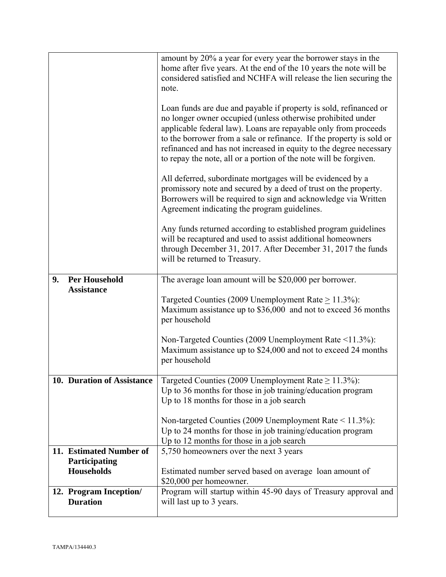|                                           | amount by 20% a year for every year the borrower stays in the<br>home after five years. At the end of the 10 years the note will be<br>considered satisfied and NCHFA will release the lien securing the<br>note.                                                                                                                                                                                                      |
|-------------------------------------------|------------------------------------------------------------------------------------------------------------------------------------------------------------------------------------------------------------------------------------------------------------------------------------------------------------------------------------------------------------------------------------------------------------------------|
|                                           | Loan funds are due and payable if property is sold, refinanced or<br>no longer owner occupied (unless otherwise prohibited under<br>applicable federal law). Loans are repayable only from proceeds<br>to the borrower from a sale or refinance. If the property is sold or<br>refinanced and has not increased in equity to the degree necessary<br>to repay the note, all or a portion of the note will be forgiven. |
|                                           | All deferred, subordinate mortgages will be evidenced by a<br>promissory note and secured by a deed of trust on the property.<br>Borrowers will be required to sign and acknowledge via Written<br>Agreement indicating the program guidelines.                                                                                                                                                                        |
|                                           | Any funds returned according to established program guidelines<br>will be recaptured and used to assist additional homeowners<br>through December 31, 2017. After December 31, 2017 the funds<br>will be returned to Treasury.                                                                                                                                                                                         |
| <b>Per Household</b><br>9.                | The average loan amount will be \$20,000 per borrower.                                                                                                                                                                                                                                                                                                                                                                 |
| <b>Assistance</b>                         | Targeted Counties (2009 Unemployment Rate $\geq$ 11.3%):<br>Maximum assistance up to \$36,000 and not to exceed 36 months<br>per household                                                                                                                                                                                                                                                                             |
|                                           | Non-Targeted Counties (2009 Unemployment Rate <11.3%):<br>Maximum assistance up to \$24,000 and not to exceed 24 months<br>per household                                                                                                                                                                                                                                                                               |
| 10. Duration of Assistance                | Targeted Counties (2009 Unemployment Rate $\geq 11.3\%$ ):<br>Up to 36 months for those in job training/education program<br>Up to 18 months for those in a job search                                                                                                                                                                                                                                                 |
|                                           | Non-targeted Counties (2009 Unemployment Rate < 11.3%):<br>Up to 24 months for those in job training/education program<br>Up to 12 months for those in a job search                                                                                                                                                                                                                                                    |
| 11. Estimated Number of                   | 5,750 homeowners over the next 3 years                                                                                                                                                                                                                                                                                                                                                                                 |
| Participating<br><b>Households</b>        | Estimated number served based on average loan amount of<br>\$20,000 per homeowner.                                                                                                                                                                                                                                                                                                                                     |
| 12. Program Inception/<br><b>Duration</b> | Program will startup within 45-90 days of Treasury approval and<br>will last up to 3 years.                                                                                                                                                                                                                                                                                                                            |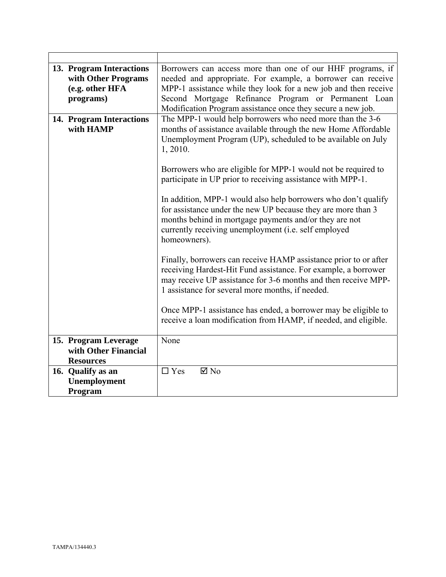| 13. Program Interactions<br>with Other Programs | Borrowers can access more than one of our HHF programs, if<br>needed and appropriate. For example, a borrower can receive                                                                                                                                        |
|-------------------------------------------------|------------------------------------------------------------------------------------------------------------------------------------------------------------------------------------------------------------------------------------------------------------------|
| (e.g. other HFA                                 | MPP-1 assistance while they look for a new job and then receive                                                                                                                                                                                                  |
| programs)                                       | Second Mortgage Refinance Program or Permanent Loan<br>Modification Program assistance once they secure a new job.                                                                                                                                               |
| 14. Program Interactions<br>with HAMP           | The MPP-1 would help borrowers who need more than the 3-6<br>months of assistance available through the new Home Affordable<br>Unemployment Program (UP), scheduled to be available on July<br>1, 2010.                                                          |
|                                                 | Borrowers who are eligible for MPP-1 would not be required to<br>participate in UP prior to receiving assistance with MPP-1.                                                                                                                                     |
|                                                 | In addition, MPP-1 would also help borrowers who don't qualify<br>for assistance under the new UP because they are more than 3<br>months behind in mortgage payments and/or they are not<br>currently receiving unemployment (i.e. self employed<br>homeowners). |
|                                                 | Finally, borrowers can receive HAMP assistance prior to or after<br>receiving Hardest-Hit Fund assistance. For example, a borrower<br>may receive UP assistance for 3-6 months and then receive MPP-<br>1 assistance for several more months, if needed.         |
|                                                 | Once MPP-1 assistance has ended, a borrower may be eligible to<br>receive a loan modification from HAMP, if needed, and eligible.                                                                                                                                |
| 15. Program Leverage                            | None                                                                                                                                                                                                                                                             |
| with Other Financial                            |                                                                                                                                                                                                                                                                  |
| <b>Resources</b>                                |                                                                                                                                                                                                                                                                  |
| 16. Qualify as an                               | $\Box$ Yes<br>$\boxtimes$ No                                                                                                                                                                                                                                     |
| Unemployment                                    |                                                                                                                                                                                                                                                                  |
| Program                                         |                                                                                                                                                                                                                                                                  |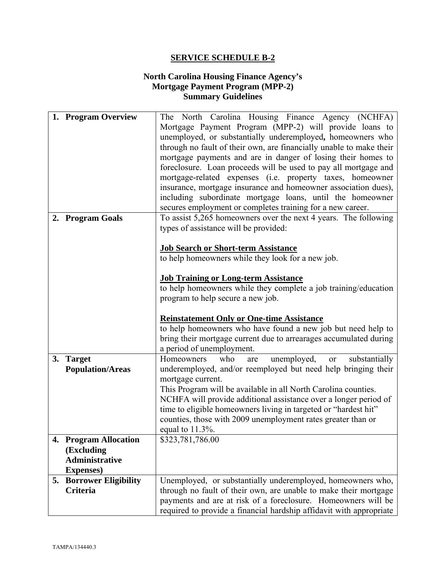# **North Carolina Housing Finance Agency's Mortgage Payment Program (MPP-2) Summary Guidelines**

|    | 1. Program Overview                          | The North Carolina Housing Finance Agency (NCHFA)                                                                                 |
|----|----------------------------------------------|-----------------------------------------------------------------------------------------------------------------------------------|
|    |                                              | Mortgage Payment Program (MPP-2) will provide loans to                                                                            |
|    |                                              | unemployed, or substantially underemployed, homeowners who                                                                        |
|    |                                              | through no fault of their own, are financially unable to make their                                                               |
|    |                                              | mortgage payments and are in danger of losing their homes to                                                                      |
|    |                                              | foreclosure. Loan proceeds will be used to pay all mortgage and                                                                   |
|    |                                              | mortgage-related expenses (i.e. property taxes, homeowner                                                                         |
|    |                                              | insurance, mortgage insurance and homeowner association dues),                                                                    |
|    |                                              | including subordinate mortgage loans, until the homeowner                                                                         |
|    |                                              |                                                                                                                                   |
|    |                                              | secures employment or completes training for a new career.                                                                        |
|    | 2. Program Goals                             | To assist 5,265 homeowners over the next 4 years. The following                                                                   |
|    |                                              | types of assistance will be provided:                                                                                             |
|    |                                              | <b>Job Search or Short-term Assistance</b>                                                                                        |
|    |                                              | to help homeowners while they look for a new job.                                                                                 |
|    |                                              |                                                                                                                                   |
|    |                                              | <b>Job Training or Long-term Assistance</b>                                                                                       |
|    |                                              | to help homeowners while they complete a job training/education                                                                   |
|    |                                              | program to help secure a new job.                                                                                                 |
|    |                                              |                                                                                                                                   |
|    |                                              |                                                                                                                                   |
|    |                                              | <b>Reinstatement Only or One-time Assistance</b>                                                                                  |
|    |                                              | to help homeowners who have found a new job but need help to                                                                      |
|    |                                              | bring their mortgage current due to arrearages accumulated during                                                                 |
|    |                                              | a period of unemployment.                                                                                                         |
| 3. | <b>Target</b>                                | unemployed,<br>Homeowners<br>who<br>substantially<br>are<br>or                                                                    |
|    | <b>Population/Areas</b>                      | underemployed, and/or reemployed but need help bringing their                                                                     |
|    |                                              | mortgage current.                                                                                                                 |
|    |                                              | This Program will be available in all North Carolina counties.                                                                    |
|    |                                              | NCHFA will provide additional assistance over a longer period of                                                                  |
|    |                                              |                                                                                                                                   |
|    |                                              | time to eligible homeowners living in targeted or "hardest hit"                                                                   |
|    |                                              | counties, those with 2009 unemployment rates greater than or                                                                      |
|    |                                              | equal to $11.3\%$ .                                                                                                               |
|    | <b>Program Allocation</b>                    | \$323,781,786.00                                                                                                                  |
|    | (Excluding                                   |                                                                                                                                   |
|    | <b>Administrative</b>                        |                                                                                                                                   |
|    | <b>Expenses</b> )<br>5. Borrower Eligibility | Unemployed, or substantially underemployed, homeowners who,                                                                       |
|    | Criteria                                     |                                                                                                                                   |
|    |                                              | through no fault of their own, are unable to make their mortgage<br>payments and are at risk of a foreclosure. Homeowners will be |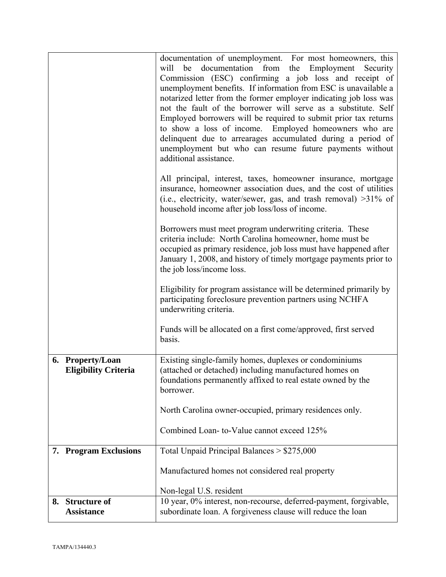|                                                 | documentation of unemployment. For most homeowners, this<br>documentation from the<br>Employment<br>will<br>be<br>Security<br>Commission (ESC) confirming a job loss and receipt of<br>unemployment benefits. If information from ESC is unavailable a<br>notarized letter from the former employer indicating job loss was<br>not the fault of the borrower will serve as a substitute. Self<br>Employed borrowers will be required to submit prior tax returns<br>to show a loss of income. Employed homeowners who are<br>delinquent due to arrearages accumulated during a period of<br>unemployment but who can resume future payments without<br>additional assistance. |
|-------------------------------------------------|-------------------------------------------------------------------------------------------------------------------------------------------------------------------------------------------------------------------------------------------------------------------------------------------------------------------------------------------------------------------------------------------------------------------------------------------------------------------------------------------------------------------------------------------------------------------------------------------------------------------------------------------------------------------------------|
|                                                 | All principal, interest, taxes, homeowner insurance, mortgage<br>insurance, homeowner association dues, and the cost of utilities<br>(i.e., electricity, water/sewer, gas, and trash removal) $>31\%$ of<br>household income after job loss/loss of income.                                                                                                                                                                                                                                                                                                                                                                                                                   |
|                                                 | Borrowers must meet program underwriting criteria. These<br>criteria include: North Carolina homeowner, home must be<br>occupied as primary residence, job loss must have happened after<br>January 1, 2008, and history of timely mortgage payments prior to<br>the job loss/income loss.                                                                                                                                                                                                                                                                                                                                                                                    |
|                                                 | Eligibility for program assistance will be determined primarily by<br>participating foreclosure prevention partners using NCHFA<br>underwriting criteria.                                                                                                                                                                                                                                                                                                                                                                                                                                                                                                                     |
|                                                 | Funds will be allocated on a first come/approved, first served<br>basis.                                                                                                                                                                                                                                                                                                                                                                                                                                                                                                                                                                                                      |
| 6. Property/Loan<br><b>Eligibility Criteria</b> | Existing single-family homes, duplexes or condominiums<br>(attached or detached) including manufactured homes on<br>foundations permanently affixed to real estate owned by the<br>borrower.                                                                                                                                                                                                                                                                                                                                                                                                                                                                                  |
|                                                 | North Carolina owner-occupied, primary residences only.                                                                                                                                                                                                                                                                                                                                                                                                                                                                                                                                                                                                                       |
|                                                 | Combined Loan-to-Value cannot exceed 125%                                                                                                                                                                                                                                                                                                                                                                                                                                                                                                                                                                                                                                     |
| 7. Program Exclusions                           | Total Unpaid Principal Balances > \$275,000                                                                                                                                                                                                                                                                                                                                                                                                                                                                                                                                                                                                                                   |
|                                                 |                                                                                                                                                                                                                                                                                                                                                                                                                                                                                                                                                                                                                                                                               |
|                                                 | Manufactured homes not considered real property                                                                                                                                                                                                                                                                                                                                                                                                                                                                                                                                                                                                                               |
|                                                 | Non-legal U.S. resident                                                                                                                                                                                                                                                                                                                                                                                                                                                                                                                                                                                                                                                       |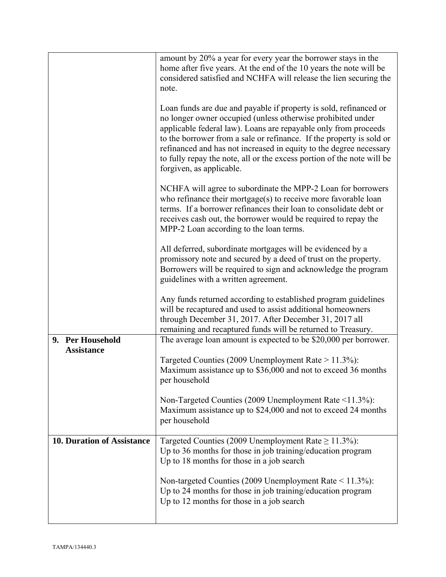|                                   | amount by 20% a year for every year the borrower stays in the<br>home after five years. At the end of the 10 years the note will be<br>considered satisfied and NCHFA will release the lien securing the<br>note.                                                                                                                                                                                                                                       |
|-----------------------------------|---------------------------------------------------------------------------------------------------------------------------------------------------------------------------------------------------------------------------------------------------------------------------------------------------------------------------------------------------------------------------------------------------------------------------------------------------------|
|                                   | Loan funds are due and payable if property is sold, refinanced or<br>no longer owner occupied (unless otherwise prohibited under<br>applicable federal law). Loans are repayable only from proceeds<br>to the borrower from a sale or refinance. If the property is sold or<br>refinanced and has not increased in equity to the degree necessary<br>to fully repay the note, all or the excess portion of the note will be<br>forgiven, as applicable. |
|                                   | NCHFA will agree to subordinate the MPP-2 Loan for borrowers<br>who refinance their mortgage $(s)$ to receive more favorable loan<br>terms. If a borrower refinances their loan to consolidate debt or<br>receives cash out, the borrower would be required to repay the<br>MPP-2 Loan according to the loan terms.                                                                                                                                     |
|                                   | All deferred, subordinate mortgages will be evidenced by a<br>promissory note and secured by a deed of trust on the property.<br>Borrowers will be required to sign and acknowledge the program<br>guidelines with a written agreement.                                                                                                                                                                                                                 |
|                                   | Any funds returned according to established program guidelines<br>will be recaptured and used to assist additional homeowners<br>through December 31, 2017. After December 31, 2017 all<br>remaining and recaptured funds will be returned to Treasury.                                                                                                                                                                                                 |
| 9. Per Household                  | The average loan amount is expected to be \$20,000 per borrower.                                                                                                                                                                                                                                                                                                                                                                                        |
| <b>Assistance</b>                 |                                                                                                                                                                                                                                                                                                                                                                                                                                                         |
|                                   | Targeted Counties (2009 Unemployment Rate > 11.3%):<br>Maximum assistance up to \$36,000 and not to exceed 36 months<br>per household                                                                                                                                                                                                                                                                                                                   |
|                                   | Non-Targeted Counties (2009 Unemployment Rate <11.3%):<br>Maximum assistance up to \$24,000 and not to exceed 24 months<br>per household                                                                                                                                                                                                                                                                                                                |
| <b>10. Duration of Assistance</b> | Targeted Counties (2009 Unemployment Rate $\geq$ 11.3%):<br>Up to 36 months for those in job training/education program<br>Up to 18 months for those in a job search                                                                                                                                                                                                                                                                                    |
|                                   | Non-targeted Counties (2009 Unemployment Rate $\leq$ 11.3%):<br>Up to 24 months for those in job training/education program<br>Up to 12 months for those in a job search                                                                                                                                                                                                                                                                                |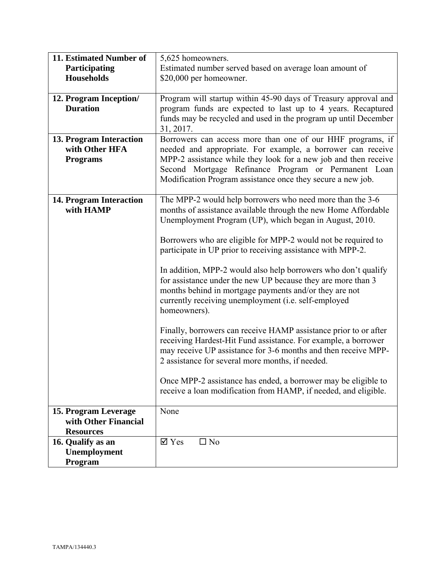| 11. Estimated Number of | 5,625 homeowners.                                                |
|-------------------------|------------------------------------------------------------------|
| Participating           | Estimated number served based on average loan amount of          |
| <b>Households</b>       | \$20,000 per homeowner.                                          |
|                         |                                                                  |
| 12. Program Inception/  | Program will startup within 45-90 days of Treasury approval and  |
| <b>Duration</b>         | program funds are expected to last up to 4 years. Recaptured     |
|                         | funds may be recycled and used in the program up until December  |
|                         | 31, 2017.                                                        |
| 13. Program Interaction | Borrowers can access more than one of our HHF programs, if       |
| with Other HFA          | needed and appropriate. For example, a borrower can receive      |
|                         | MPP-2 assistance while they look for a new job and then receive  |
| <b>Programs</b>         |                                                                  |
|                         | Second Mortgage Refinance Program or Permanent Loan              |
|                         | Modification Program assistance once they secure a new job.      |
|                         |                                                                  |
| 14. Program Interaction | The MPP-2 would help borrowers who need more than the 3-6        |
| with HAMP               | months of assistance available through the new Home Affordable   |
|                         | Unemployment Program (UP), which began in August, 2010.          |
|                         |                                                                  |
|                         | Borrowers who are eligible for MPP-2 would not be required to    |
|                         | participate in UP prior to receiving assistance with MPP-2.      |
|                         |                                                                  |
|                         | In addition, MPP-2 would also help borrowers who don't qualify   |
|                         | for assistance under the new UP because they are more than 3     |
|                         | months behind in mortgage payments and/or they are not           |
|                         | currently receiving unemployment (i.e. self-employed             |
|                         | homeowners).                                                     |
|                         | Finally, borrowers can receive HAMP assistance prior to or after |
|                         |                                                                  |
|                         | receiving Hardest-Hit Fund assistance. For example, a borrower   |
|                         | may receive UP assistance for 3-6 months and then receive MPP-   |
|                         | 2 assistance for several more months, if needed.                 |
|                         | Once MPP-2 assistance has ended, a borrower may be eligible to   |
|                         | receive a loan modification from HAMP, if needed, and eligible.  |
|                         |                                                                  |
| 15. Program Leverage    | None                                                             |
| with Other Financial    |                                                                  |
| <b>Resources</b>        |                                                                  |
| 16. Qualify as an       | $\boxtimes$ Yes<br>$\square$ No                                  |
| Unemployment            |                                                                  |
| Program                 |                                                                  |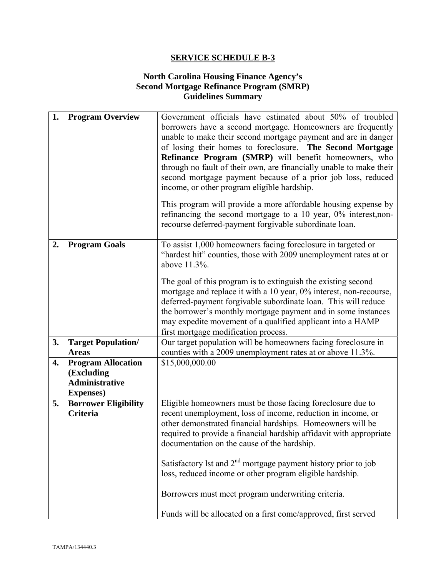# **North Carolina Housing Finance Agency's Second Mortgage Refinance Program (SMRP) Guidelines Summary**

| 1. | <b>Program Overview</b>                                                               | Government officials have estimated about 50% of troubled<br>borrowers have a second mortgage. Homeowners are frequently<br>unable to make their second mortgage payment and are in danger<br>of losing their homes to foreclosure. The Second Mortgage<br>Refinance Program (SMRP) will benefit homeowners, who<br>through no fault of their own, are financially unable to make their<br>second mortgage payment because of a prior job loss, reduced<br>income, or other program eligible hardship.<br>This program will provide a more affordable housing expense by<br>refinancing the second mortgage to a 10 year, $0\%$ interest, non-<br>recourse deferred-payment forgivable subordinate loan. |
|----|---------------------------------------------------------------------------------------|----------------------------------------------------------------------------------------------------------------------------------------------------------------------------------------------------------------------------------------------------------------------------------------------------------------------------------------------------------------------------------------------------------------------------------------------------------------------------------------------------------------------------------------------------------------------------------------------------------------------------------------------------------------------------------------------------------|
| 2. | <b>Program Goals</b>                                                                  | To assist 1,000 homeowners facing foreclosure in targeted or<br>"hardest hit" counties, those with 2009 unemployment rates at or<br>above 11.3%.<br>The goal of this program is to extinguish the existing second<br>mortgage and replace it with a 10 year, 0% interest, non-recourse,<br>deferred-payment forgivable subordinate loan. This will reduce<br>the borrower's monthly mortgage payment and in some instances<br>may expedite movement of a qualified applicant into a HAMP<br>first mortgage modification process.                                                                                                                                                                         |
| 3. | <b>Target Population/</b><br><b>Areas</b>                                             | Our target population will be homeowners facing foreclosure in<br>counties with a 2009 unemployment rates at or above 11.3%.                                                                                                                                                                                                                                                                                                                                                                                                                                                                                                                                                                             |
| 4. | <b>Program Allocation</b><br>(Excluding<br><b>Administrative</b><br><b>Expenses</b> ) | \$15,000,000.00                                                                                                                                                                                                                                                                                                                                                                                                                                                                                                                                                                                                                                                                                          |
| 5. | <b>Borrower Eligibility</b><br><b>Criteria</b>                                        | Eligible homeowners must be those facing foreclosure due to<br>recent unemployment, loss of income, reduction in income, or<br>other demonstrated financial hardships. Homeowners will be<br>required to provide a financial hardship affidavit with appropriate<br>documentation on the cause of the hardship.<br>Satisfactory 1st and $2nd$ mortgage payment history prior to job<br>loss, reduced income or other program eligible hardship.<br>Borrowers must meet program underwriting criteria.<br>Funds will be allocated on a first come/approved, first served                                                                                                                                  |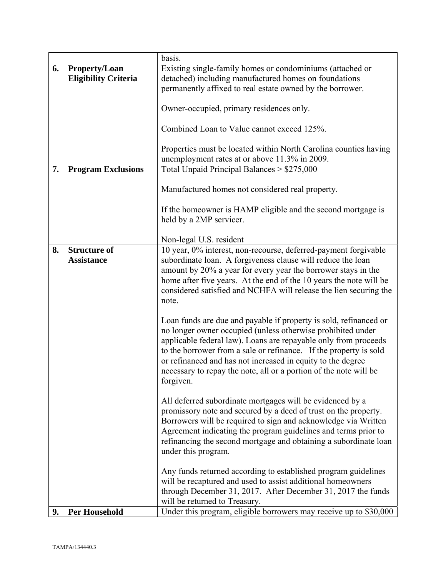|    |                             | basis.                                                                                                                       |
|----|-----------------------------|------------------------------------------------------------------------------------------------------------------------------|
| 6. | <b>Property/Loan</b>        | Existing single-family homes or condominiums (attached or                                                                    |
|    | <b>Eligibility Criteria</b> | detached) including manufactured homes on foundations                                                                        |
|    |                             | permanently affixed to real estate owned by the borrower.                                                                    |
|    |                             |                                                                                                                              |
|    |                             | Owner-occupied, primary residences only.                                                                                     |
|    |                             |                                                                                                                              |
|    |                             | Combined Loan to Value cannot exceed 125%.                                                                                   |
|    |                             |                                                                                                                              |
|    |                             | Properties must be located within North Carolina counties having                                                             |
|    |                             | unemployment rates at or above 11.3% in 2009.                                                                                |
| 7. | <b>Program Exclusions</b>   | Total Unpaid Principal Balances > \$275,000                                                                                  |
|    |                             |                                                                                                                              |
|    |                             | Manufactured homes not considered real property.                                                                             |
|    |                             |                                                                                                                              |
|    |                             | If the homeowner is HAMP eligible and the second mortgage is                                                                 |
|    |                             | held by a 2MP servicer.                                                                                                      |
|    |                             |                                                                                                                              |
|    |                             | Non-legal U.S. resident                                                                                                      |
| 8. | <b>Structure of</b>         | 10 year, 0% interest, non-recourse, deferred-payment forgivable                                                              |
|    | <b>Assistance</b>           | subordinate loan. A forgiveness clause will reduce the loan                                                                  |
|    |                             | amount by 20% a year for every year the borrower stays in the                                                                |
|    |                             | home after five years. At the end of the 10 years the note will be                                                           |
|    |                             | considered satisfied and NCHFA will release the lien securing the                                                            |
|    |                             | note.                                                                                                                        |
|    |                             |                                                                                                                              |
|    |                             | Loan funds are due and payable if property is sold, refinanced or                                                            |
|    |                             |                                                                                                                              |
|    |                             | no longer owner occupied (unless otherwise prohibited under                                                                  |
|    |                             | applicable federal law). Loans are repayable only from proceeds                                                              |
|    |                             | to the borrower from a sale or refinance. If the property is sold                                                            |
|    |                             | or refinanced and has not increased in equity to the degree                                                                  |
|    |                             | necessary to repay the note, all or a portion of the note will be                                                            |
|    |                             | forgiven.                                                                                                                    |
|    |                             |                                                                                                                              |
|    |                             | All deferred subordinate mortgages will be evidenced by a<br>promissory note and secured by a deed of trust on the property. |
|    |                             |                                                                                                                              |
|    |                             | Borrowers will be required to sign and acknowledge via Written                                                               |
|    |                             | Agreement indicating the program guidelines and terms prior to                                                               |
|    |                             | refinancing the second mortgage and obtaining a subordinate loan                                                             |
|    |                             | under this program.                                                                                                          |
|    |                             |                                                                                                                              |
|    |                             | Any funds returned according to established program guidelines                                                               |
|    |                             | will be recaptured and used to assist additional homeowners                                                                  |
|    |                             | through December 31, 2017. After December 31, 2017 the funds                                                                 |
|    |                             | will be returned to Treasury.                                                                                                |
| 9. | <b>Per Household</b>        | Under this program, eligible borrowers may receive up to \$30,000                                                            |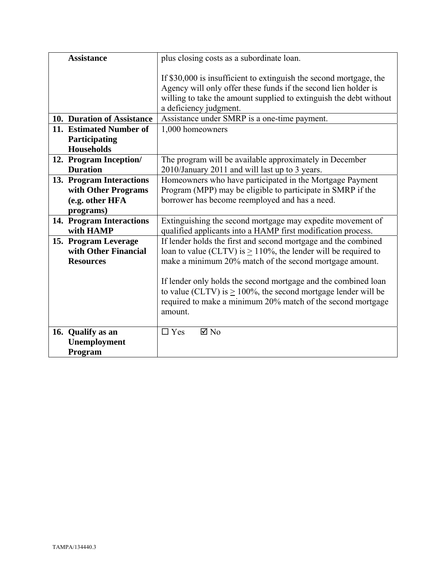| <b>Assistance</b>                         | plus closing costs as a subordinate loan.                                                                                                                                                                      |
|-------------------------------------------|----------------------------------------------------------------------------------------------------------------------------------------------------------------------------------------------------------------|
|                                           | If \$30,000 is insufficient to extinguish the second mortgage, the<br>Agency will only offer these funds if the second lien holder is<br>willing to take the amount supplied to extinguish the debt without    |
|                                           | a deficiency judgment.                                                                                                                                                                                         |
| 10. Duration of Assistance                | Assistance under SMRP is a one-time payment.                                                                                                                                                                   |
| 11. Estimated Number of                   | 1,000 homeowners                                                                                                                                                                                               |
| Participating                             |                                                                                                                                                                                                                |
| <b>Households</b>                         |                                                                                                                                                                                                                |
| 12. Program Inception/<br><b>Duration</b> | The program will be available approximately in December<br>2010/January 2011 and will last up to 3 years.                                                                                                      |
| 13. Program Interactions                  | Homeowners who have participated in the Mortgage Payment                                                                                                                                                       |
| with Other Programs                       | Program (MPP) may be eligible to participate in SMRP if the                                                                                                                                                    |
| (e.g. other HFA                           | borrower has become reemployed and has a need.                                                                                                                                                                 |
| programs)                                 |                                                                                                                                                                                                                |
| 14. Program Interactions                  | Extinguishing the second mortgage may expedite movement of                                                                                                                                                     |
| with HAMP                                 | qualified applicants into a HAMP first modification process.                                                                                                                                                   |
| 15. Program Leverage                      | If lender holds the first and second mortgage and the combined                                                                                                                                                 |
| with Other Financial                      | loan to value (CLTV) is $\geq 110\%$ , the lender will be required to                                                                                                                                          |
| <b>Resources</b>                          | make a minimum 20% match of the second mortgage amount.                                                                                                                                                        |
|                                           | If lender only holds the second mortgage and the combined loan<br>to value (CLTV) is $\geq$ 100%, the second mortgage lender will be<br>required to make a minimum 20% match of the second mortgage<br>amount. |
| 16. Qualify as an                         | $\boxtimes$ No<br>$\Box$ Yes                                                                                                                                                                                   |
| Unemployment                              |                                                                                                                                                                                                                |
| Program                                   |                                                                                                                                                                                                                |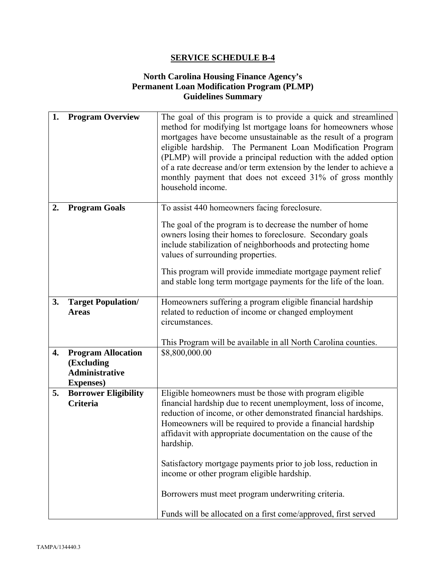# **North Carolina Housing Finance Agency's Permanent Loan Modification Program (PLMP) Guidelines Summary**

| 1. | <b>Program Overview</b>                                                               | The goal of this program is to provide a quick and streamlined<br>method for modifying lst mortgage loans for homeowners whose<br>mortgages have become unsustainable as the result of a program<br>eligible hardship. The Permanent Loan Modification Program<br>(PLMP) will provide a principal reduction with the added option<br>of a rate decrease and/or term extension by the lender to achieve a<br>monthly payment that does not exceed 31% of gross monthly<br>household income.                                                                                       |
|----|---------------------------------------------------------------------------------------|----------------------------------------------------------------------------------------------------------------------------------------------------------------------------------------------------------------------------------------------------------------------------------------------------------------------------------------------------------------------------------------------------------------------------------------------------------------------------------------------------------------------------------------------------------------------------------|
| 2. | <b>Program Goals</b>                                                                  | To assist 440 homeowners facing foreclosure.<br>The goal of the program is to decrease the number of home<br>owners losing their homes to foreclosure. Secondary goals<br>include stabilization of neighborhoods and protecting home<br>values of surrounding properties.<br>This program will provide immediate mortgage payment relief<br>and stable long term mortgage payments for the life of the loan.                                                                                                                                                                     |
| 3. | <b>Target Population/</b><br><b>Areas</b>                                             | Homeowners suffering a program eligible financial hardship<br>related to reduction of income or changed employment<br>circumstances.<br>This Program will be available in all North Carolina counties.                                                                                                                                                                                                                                                                                                                                                                           |
| 4. | <b>Program Allocation</b><br>(Excluding<br><b>Administrative</b><br><b>Expenses</b> ) | \$8,800,000.00                                                                                                                                                                                                                                                                                                                                                                                                                                                                                                                                                                   |
| 5. | <b>Borrower Eligibility</b><br>Criteria                                               | Eligible homeowners must be those with program eligible<br>financial hardship due to recent unemployment, loss of income,<br>reduction of income, or other demonstrated financial hardships.<br>Homeowners will be required to provide a financial hardship<br>affidavit with appropriate documentation on the cause of the<br>hardship.<br>Satisfactory mortgage payments prior to job loss, reduction in<br>income or other program eligible hardship.<br>Borrowers must meet program underwriting criteria.<br>Funds will be allocated on a first come/approved, first served |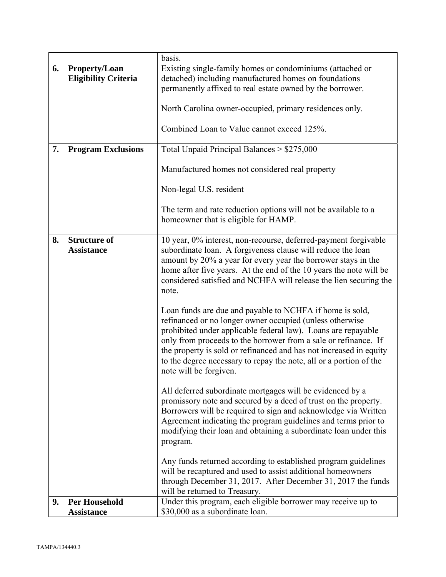|    |                                          | basis.                                                                                                                                                                                                                                                                                                                                                                                                                         |
|----|------------------------------------------|--------------------------------------------------------------------------------------------------------------------------------------------------------------------------------------------------------------------------------------------------------------------------------------------------------------------------------------------------------------------------------------------------------------------------------|
| 6. | <b>Property/Loan</b>                     | Existing single-family homes or condominiums (attached or                                                                                                                                                                                                                                                                                                                                                                      |
|    | <b>Eligibility Criteria</b>              | detached) including manufactured homes on foundations                                                                                                                                                                                                                                                                                                                                                                          |
|    |                                          | permanently affixed to real estate owned by the borrower.                                                                                                                                                                                                                                                                                                                                                                      |
|    |                                          |                                                                                                                                                                                                                                                                                                                                                                                                                                |
|    |                                          | North Carolina owner-occupied, primary residences only.                                                                                                                                                                                                                                                                                                                                                                        |
|    |                                          |                                                                                                                                                                                                                                                                                                                                                                                                                                |
|    |                                          | Combined Loan to Value cannot exceed 125%.                                                                                                                                                                                                                                                                                                                                                                                     |
|    |                                          |                                                                                                                                                                                                                                                                                                                                                                                                                                |
| 7. | <b>Program Exclusions</b>                | Total Unpaid Principal Balances $> $275,000$                                                                                                                                                                                                                                                                                                                                                                                   |
|    |                                          | Manufactured homes not considered real property                                                                                                                                                                                                                                                                                                                                                                                |
|    |                                          | Non-legal U.S. resident                                                                                                                                                                                                                                                                                                                                                                                                        |
|    |                                          | The term and rate reduction options will not be available to a<br>homeowner that is eligible for HAMP.                                                                                                                                                                                                                                                                                                                         |
| 8. | <b>Structure of</b><br><b>Assistance</b> | 10 year, 0% interest, non-recourse, deferred-payment forgivable<br>subordinate loan. A forgiveness clause will reduce the loan<br>amount by 20% a year for every year the borrower stays in the<br>home after five years. At the end of the 10 years the note will be<br>considered satisfied and NCHFA will release the lien securing the<br>note.                                                                            |
|    |                                          | Loan funds are due and payable to NCHFA if home is sold,<br>refinanced or no longer owner occupied (unless otherwise<br>prohibited under applicable federal law). Loans are repayable<br>only from proceeds to the borrower from a sale or refinance. If<br>the property is sold or refinanced and has not increased in equity<br>to the degree necessary to repay the note, all or a portion of the<br>note will be forgiven. |
|    |                                          | All deferred subordinate mortgages will be evidenced by a<br>promissory note and secured by a deed of trust on the property.<br>Borrowers will be required to sign and acknowledge via Written<br>Agreement indicating the program guidelines and terms prior to<br>modifying their loan and obtaining a subordinate loan under this<br>program.                                                                               |
|    |                                          | Any funds returned according to established program guidelines<br>will be recaptured and used to assist additional homeowners<br>through December 31, 2017. After December 31, 2017 the funds<br>will be returned to Treasury.                                                                                                                                                                                                 |
| 9. | <b>Per Household</b>                     | Under this program, each eligible borrower may receive up to                                                                                                                                                                                                                                                                                                                                                                   |
|    | <b>Assistance</b>                        | \$30,000 as a subordinate loan.                                                                                                                                                                                                                                                                                                                                                                                                |